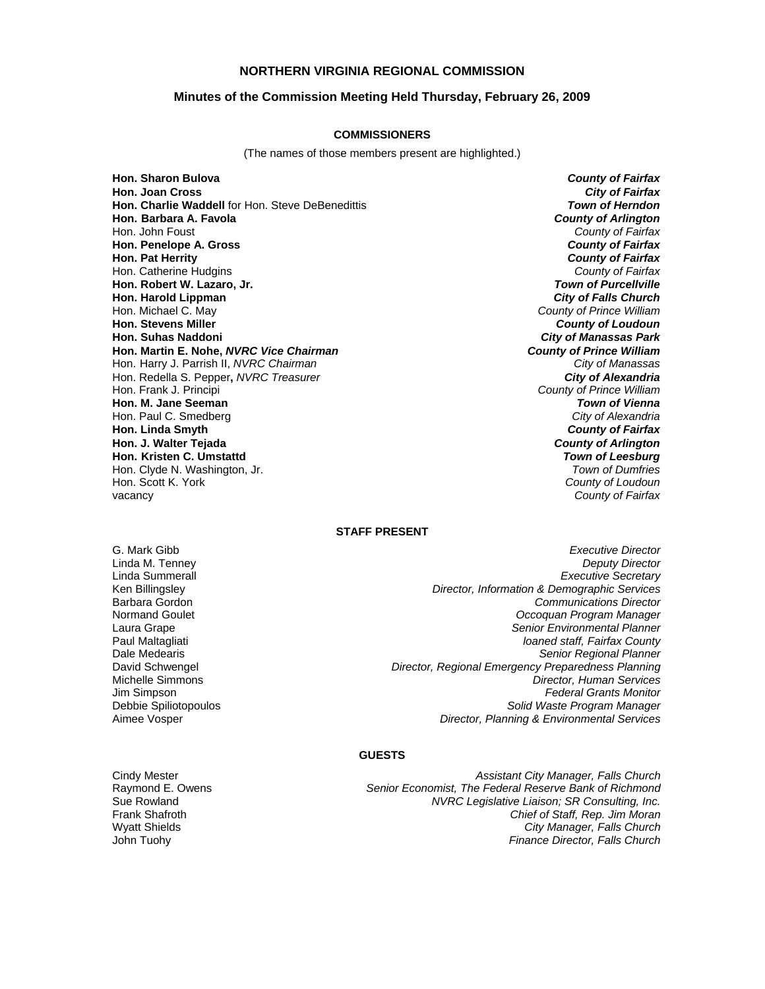## **NORTHERN VIRGINIA REGIONAL COMMISSION**

#### **Minutes of the Commission Meeting Held Thursday, February 26, 2009**

#### **COMMISSIONERS**

(The names of those members present are highlighted.)

**Hon. Sharon Bulova** *County of Fairfax* **Hon. Joan Cross** *City of Fairfax* **Hon. Charlie Waddell** for Hon. Steve DeBenedittis **Hon. Barbara A. Favola** *County of Arlington* Hon. John Foust *County of Fairfax* **Hon. Penelope A. Gross** *County of Fairfax* **Hon. Pat Herrity** *County of Fairfax* Hon. Catherine Hudgins *County of Fairfax* **Hon. Robert W. Lazaro, Jr. Hon. Harold Lippman** *City of Falls Church* Hon. Michael C. May *County of Prince William* **Hon. Suhas Naddoni** *City of Manassas Park* **Hon. Martin E. Nohe,** *NVRC Vice Chairman County of Prince William* Hon. Harry J. Parrish II, *NVRC Chairman City of Manassas* Hon. Redella S. Pepper, *NVRC Treasurer*<br>Hon. Frank J. Principi **Hon. M. Jane Seeman** *Town of Vienna* Hon. Paul C. Smedberg *City of Alexandria* **Hon. Linda Smyth** *County of Fairfax* **Hon. J. Walter Tejada Hon. Kristen C. Umstattd** *Town of Leesburg* Hon. Clyde N. Washington, Jr. *Town of Dumfries* Hon. Scott K. York *County of Loudoun*

**County of Loudoun County of Prince William County of Fairfax** 

### **STAFF PRESENT**

Frank Shafroth Wyatt Shields

G. Mark Gibb *Executive Director* Linda M. Tenney *Deputy Director* Linda Summerall *Executive Secretary* Ken Billingsley *Director, Information & Demographic Services* Barbara Gordon *Communications Director* Normand Goulet *Occoquan Program Manager* Laura Grape *Senior Environmental Planner* **loaned staff, Fairfax County** Dale Medearis *Senior Regional Planner* David Schwengel *Director, Regional Emergency Preparedness Planning* Michelle Simmons *Director, Human Services* Jim Simpson *Federal Grants Monitor* Debbie Spiliotopoulos *Solid Waste Program Manager* Aimee Vosper *Director, Planning & Environmental Services*

#### **GUESTS**

Cindy Mester *Assistant City Manager, Falls Church* Raymond E. Owens *Senior Economist, The Federal Reserve Bank of Richmond* Sue Rowland *NVRC Legislative Liaison; SR Consulting, Inc. Chief of Staff, Rep. Jim Moran City Manager, Falls Church* John Tuohy *Finance Director, Falls Church*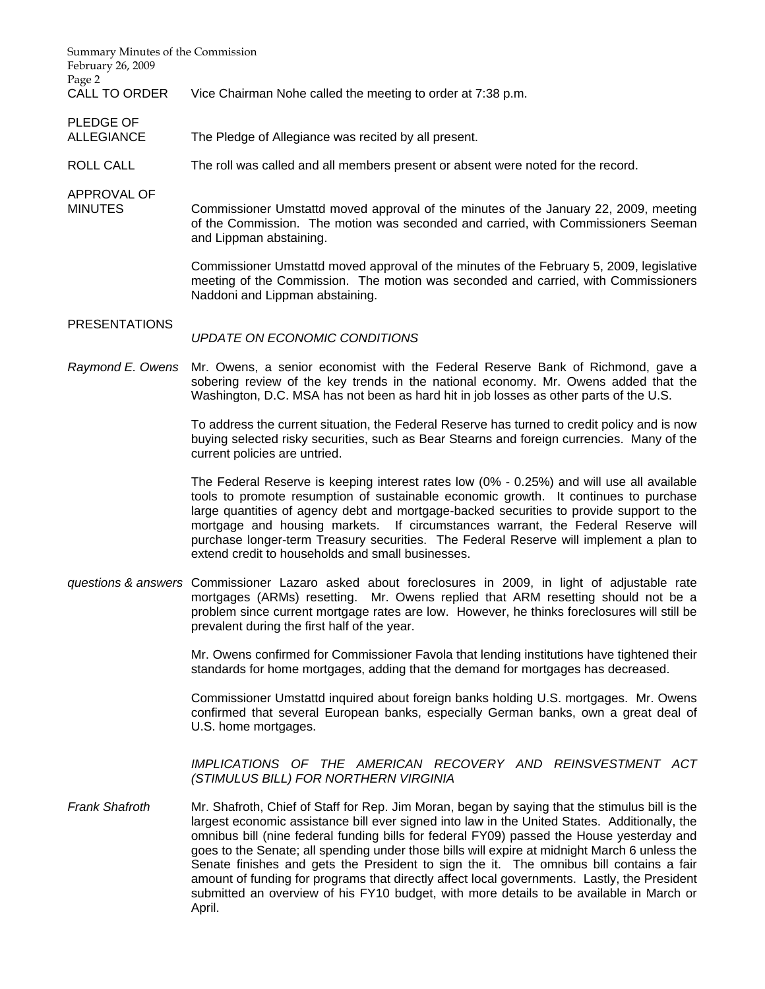| Summary Minutes of the Commission<br>February 26, 2009<br>Page 2 |                                                                                                                                                                                                                                                                                                                                                                                                                                                                                                                  |
|------------------------------------------------------------------|------------------------------------------------------------------------------------------------------------------------------------------------------------------------------------------------------------------------------------------------------------------------------------------------------------------------------------------------------------------------------------------------------------------------------------------------------------------------------------------------------------------|
| <b>CALL TO ORDER</b>                                             | Vice Chairman Nohe called the meeting to order at 7:38 p.m.                                                                                                                                                                                                                                                                                                                                                                                                                                                      |
| PLEDGE OF<br><b>ALLEGIANCE</b>                                   | The Pledge of Allegiance was recited by all present.                                                                                                                                                                                                                                                                                                                                                                                                                                                             |
| <b>ROLL CALL</b>                                                 | The roll was called and all members present or absent were noted for the record.                                                                                                                                                                                                                                                                                                                                                                                                                                 |
| APPROVAL OF<br><b>MINUTES</b>                                    | Commissioner Umstattd moved approval of the minutes of the January 22, 2009, meeting<br>of the Commission. The motion was seconded and carried, with Commissioners Seeman<br>and Lippman abstaining.                                                                                                                                                                                                                                                                                                             |
|                                                                  | Commissioner Umstattd moved approval of the minutes of the February 5, 2009, legislative<br>meeting of the Commission. The motion was seconded and carried, with Commissioners<br>Naddoni and Lippman abstaining.                                                                                                                                                                                                                                                                                                |
| <b>PRESENTATIONS</b>                                             | UPDATE ON ECONOMIC CONDITIONS                                                                                                                                                                                                                                                                                                                                                                                                                                                                                    |
| Raymond E. Owens                                                 | Mr. Owens, a senior economist with the Federal Reserve Bank of Richmond, gave a<br>sobering review of the key trends in the national economy. Mr. Owens added that the<br>Washington, D.C. MSA has not been as hard hit in job losses as other parts of the U.S.                                                                                                                                                                                                                                                 |
|                                                                  | To address the current situation, the Federal Reserve has turned to credit policy and is now<br>buying selected risky securities, such as Bear Stearns and foreign currencies. Many of the<br>current policies are untried.                                                                                                                                                                                                                                                                                      |
|                                                                  | The Federal Reserve is keeping interest rates low (0% - 0.25%) and will use all available<br>tools to promote resumption of sustainable economic growth. It continues to purchase<br>large quantities of agency debt and mortgage-backed securities to provide support to the<br>mortgage and housing markets. If circumstances warrant, the Federal Reserve will<br>purchase longer-term Treasury securities. The Federal Reserve will implement a plan to<br>extend credit to households and small businesses. |
|                                                                  | questions & answers Commissioner Lazaro asked about foreclosures in 2009, in light of adjustable rate<br>mortgages (ARMs) resetting. Mr. Owens replied that ARM resetting should not be a<br>problem since current mortgage rates are low. However, he thinks foreclosures will still be<br>prevalent during the first half of the year.                                                                                                                                                                         |
|                                                                  | Mr. Owens confirmed for Commissioner Favola that lending institutions have tightened their<br>standards for home mortgages, adding that the demand for mortgages has decreased.                                                                                                                                                                                                                                                                                                                                  |
|                                                                  | Commissioner Umstattd inquired about foreign banks holding U.S. mortgages. Mr. Owens<br>confirmed that several European banks, especially German banks, own a great deal of<br>U.S. home mortgages.                                                                                                                                                                                                                                                                                                              |
|                                                                  | IMPLICATIONS OF THE AMERICAN RECOVERY AND REINSVESTMENT ACT<br>(STIMULUS BILL) FOR NORTHERN VIRGINIA                                                                                                                                                                                                                                                                                                                                                                                                             |
| <b>Frank Shafroth</b>                                            | Mr. Shafroth, Chief of Staff for Rep. Jim Moran, began by saying that the stimulus bill is the<br>largest economic assistance bill ever signed into law in the United States. Additionally, the<br>omnibus bill (nine federal funding bills for federal FY09) passed the House yesterday and<br>goes to the Senate; all spending under those bills will expire at midnight March 6 unless the<br>Senate finishes and gets the President to sign the it. The omnibus bill contains a fair                         |

amount of funding for programs that directly affect local governments. Lastly, the President submitted an overview of his FY10 budget, with more details to be available in March or

April.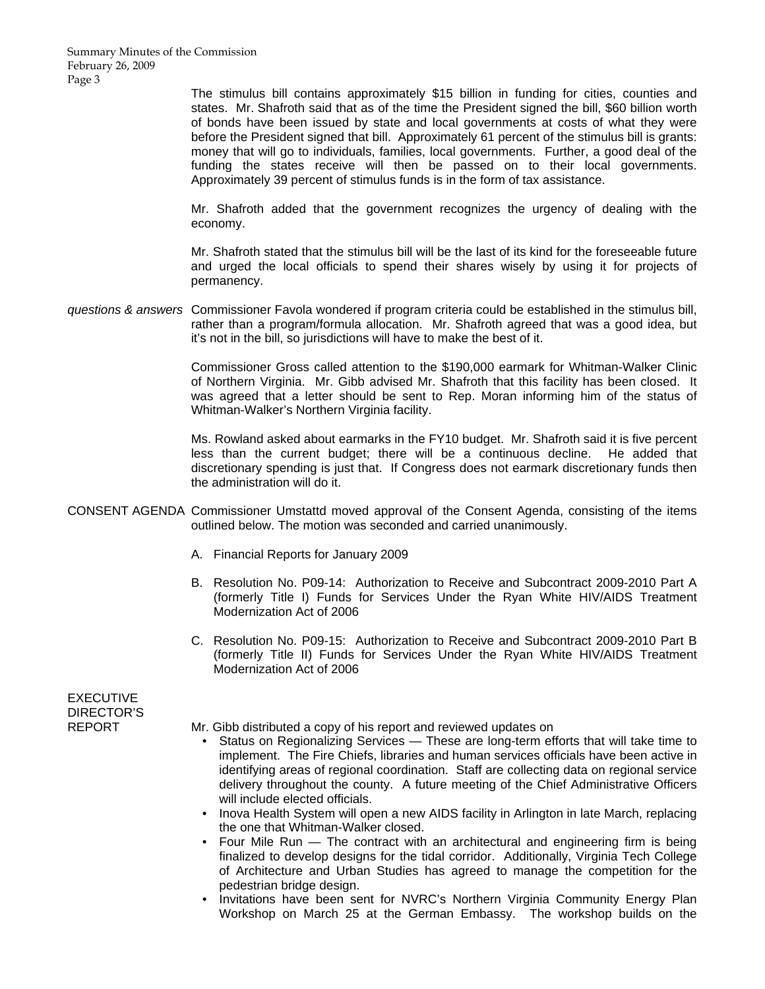Summary Minutes of the Commission February 26, 2009 Page 3

> The stimulus bill contains approximately \$15 billion in funding for cities, counties and states. Mr. Shafroth said that as of the time the President signed the bill, \$60 billion worth of bonds have been issued by state and local governments at costs of what they were before the President signed that bill. Approximately 61 percent of the stimulus bill is grants: money that will go to individuals, families, local governments. Further, a good deal of the funding the states receive will then be passed on to their local governments. Approximately 39 percent of stimulus funds is in the form of tax assistance.

> Mr. Shafroth added that the government recognizes the urgency of dealing with the economy.

> Mr. Shafroth stated that the stimulus bill will be the last of its kind for the foreseeable future and urged the local officials to spend their shares wisely by using it for projects of permanency.

*questions & answers* Commissioner Favola wondered if program criteria could be established in the stimulus bill, rather than a program/formula allocation. Mr. Shafroth agreed that was a good idea, but it's not in the bill, so jurisdictions will have to make the best of it.

> Commissioner Gross called attention to the \$190,000 earmark for Whitman-Walker Clinic of Northern Virginia. Mr. Gibb advised Mr. Shafroth that this facility has been closed. It was agreed that a letter should be sent to Rep. Moran informing him of the status of Whitman-Walker's Northern Virginia facility.

> Ms. Rowland asked about earmarks in the FY10 budget. Mr. Shafroth said it is five percent less than the current budget; there will be a continuous decline. He added that discretionary spending is just that. If Congress does not earmark discretionary funds then the administration will do it.

- CONSENT AGENDA Commissioner Umstattd moved approval of the Consent Agenda, consisting of the items outlined below. The motion was seconded and carried unanimously.
	- A. Financial Reports for January 2009
	- B. Resolution No. P09-14: Authorization to Receive and Subcontract 2009-2010 Part A (formerly Title I) Funds for Services Under the Ryan White HIV/AIDS Treatment Modernization Act of 2006
	- C. Resolution No. P09-15: Authorization to Receive and Subcontract 2009-2010 Part B (formerly Title II) Funds for Services Under the Ryan White HIV/AIDS Treatment Modernization Act of 2006

**EXECUTIVE** DIRECTOR'S

- REPORT Mr. Gibb distributed a copy of his report and reviewed updates on
	- Status on Regionalizing Services These are long-term efforts that will take time to implement. The Fire Chiefs, libraries and human services officials have been active in identifying areas of regional coordination. Staff are collecting data on regional service delivery throughout the county. A future meeting of the Chief Administrative Officers will include elected officials.
	- Inova Health System will open a new AIDS facility in Arlington in late March, replacing the one that Whitman-Walker closed.
	- Four Mile Run The contract with an architectural and engineering firm is being finalized to develop designs for the tidal corridor. Additionally, Virginia Tech College of Architecture and Urban Studies has agreed to manage the competition for the pedestrian bridge design.
	- Invitations have been sent for NVRC's Northern Virginia Community Energy Plan Workshop on March 25 at the German Embassy. The workshop builds on the